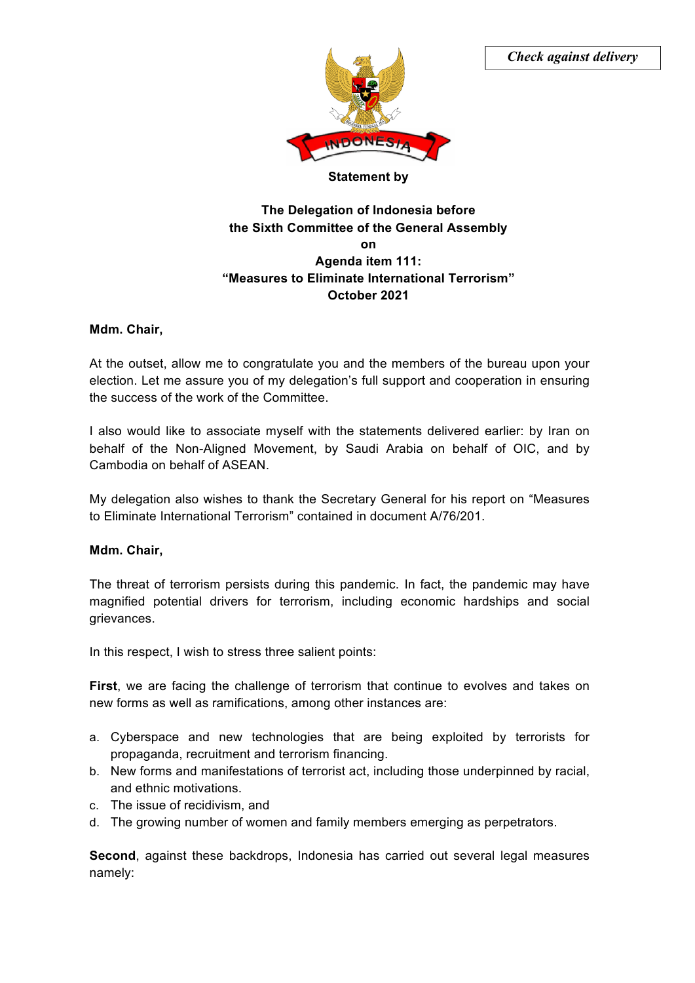

## *Check against delivery*

#### **Statement by**

# **The Delegation of Indonesia before the Sixth Committee of the General Assembly on Agenda item 111: "Measures to Eliminate International Terrorism" October 2021**

### **Mdm. Chair,**

At the outset, allow me to congratulate you and the members of the bureau upon your election. Let me assure you of my delegation's full support and cooperation in ensuring the success of the work of the Committee.

I also would like to associate myself with the statements delivered earlier: by Iran on behalf of the Non-Aligned Movement, by Saudi Arabia on behalf of OIC, and by Cambodia on behalf of ASEAN.

My delegation also wishes to thank the Secretary General for his report on "Measures to Eliminate International Terrorism" contained in document A/76/201.

#### **Mdm. Chair,**

The threat of terrorism persists during this pandemic. In fact, the pandemic may have magnified potential drivers for terrorism, including economic hardships and social grievances.

In this respect, I wish to stress three salient points:

**First**, we are facing the challenge of terrorism that continue to evolves and takes on new forms as well as ramifications, among other instances are:

- a. Cyberspace and new technologies that are being exploited by terrorists for propaganda, recruitment and terrorism financing.
- b. New forms and manifestations of terrorist act, including those underpinned by racial, and ethnic motivations.
- c. The issue of recidivism, and
- d. The growing number of women and family members emerging as perpetrators.

**Second**, against these backdrops, Indonesia has carried out several legal measures namely: